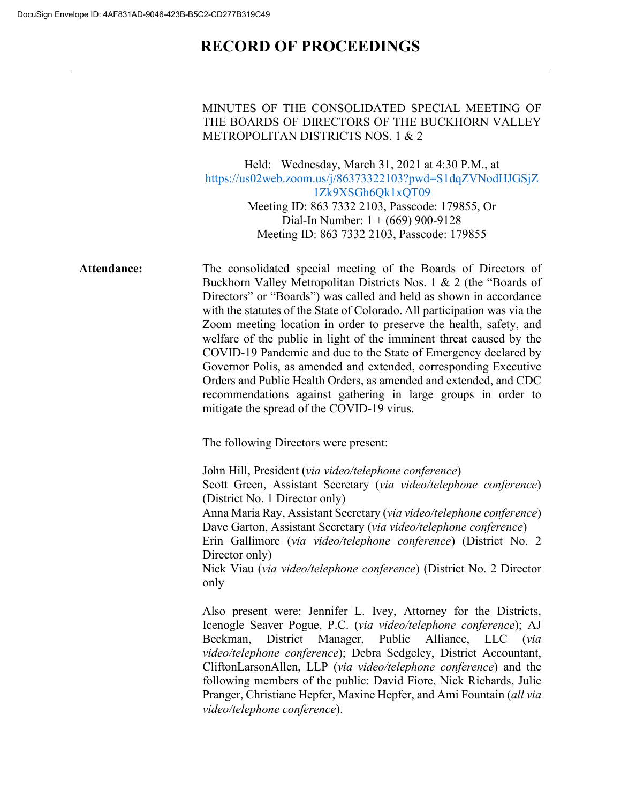# **RECORD OF PROCEEDINGS**

#### MINUTES OF THE CONSOLIDATED SPECIAL MEETING OF THE BOARDS OF DIRECTORS OF THE BUCKHORN VALLEY METROPOLITAN DISTRICTS NOS. 1 & 2

Held: Wednesday, March 31, 2021 at 4:30 P.M., at [https://us02web.zoom.us/j/86373322103?pwd=S1dqZVNodHJGSjZ](https://us02web.zoom.us/j/86373322103?pwd=S1dqZVNodHJGSjZ1Zk9XSGh6Qk1xQT09) [1Zk9XSGh6Qk1xQT09](https://us02web.zoom.us/j/86373322103?pwd=S1dqZVNodHJGSjZ1Zk9XSGh6Qk1xQT09) Meeting ID: 863 7332 2103, Passcode: 179855, Or Dial-In Number: 1 + (669) 900-9128 Meeting ID: 863 7332 2103, Passcode: 179855

**Attendance:** The consolidated special meeting of the Boards of Directors of Buckhorn Valley Metropolitan Districts Nos. 1 & 2 (the "Boards of Directors" or "Boards") was called and held as shown in accordance with the statutes of the State of Colorado. All participation was via the Zoom meeting location in order to preserve the health, safety, and welfare of the public in light of the imminent threat caused by the COVID-19 Pandemic and due to the State of Emergency declared by Governor Polis, as amended and extended, corresponding Executive Orders and Public Health Orders, as amended and extended, and CDC recommendations against gathering in large groups in order to mitigate the spread of the COVID-19 virus.

The following Directors were present:

John Hill, President (*via video/telephone conference*) Scott Green, Assistant Secretary (*via video/telephone conference*) (District No. 1 Director only) Anna Maria Ray, Assistant Secretary (*via video/telephone conference*) Dave Garton, Assistant Secretary (*via video/telephone conference*) Erin Gallimore (*via video/telephone conference*) (District No. 2 Director only) Nick Viau (*via video/telephone conference*) (District No. 2 Director only

Also present were: Jennifer L. Ivey, Attorney for the Districts, Icenogle Seaver Pogue, P.C. (*via video/telephone conference*); AJ Beckman, District Manager, Public Alliance, LLC (*via video/telephone conference*); Debra Sedgeley, District Accountant, CliftonLarsonAllen, LLP (*via video/telephone conference*) and the following members of the public: David Fiore, Nick Richards, Julie Pranger, Christiane Hepfer, Maxine Hepfer, and Ami Fountain (*all via video/telephone conference*).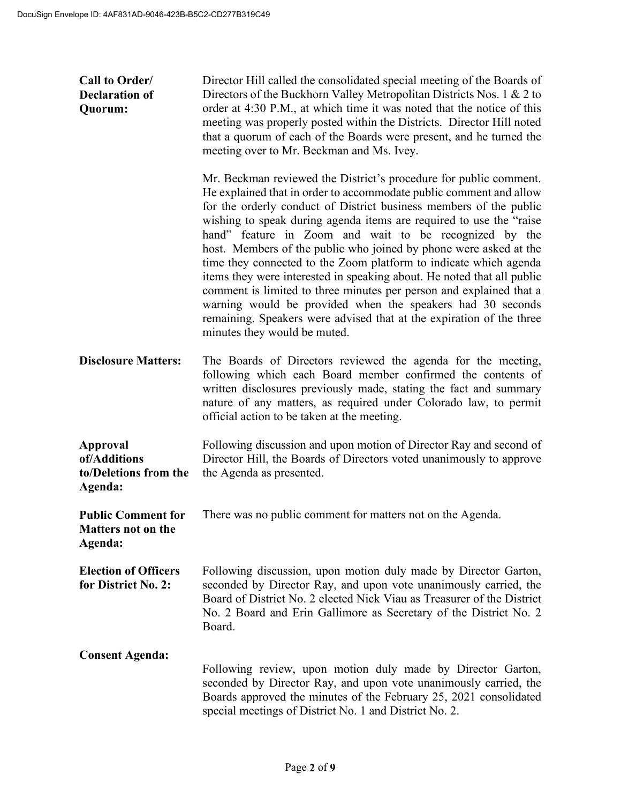| Call to Order/<br><b>Declaration of</b><br>Quorum:                | Director Hill called the consolidated special meeting of the Boards of<br>Directors of the Buckhorn Valley Metropolitan Districts Nos. 1 & 2 to<br>order at 4:30 P.M., at which time it was noted that the notice of this<br>meeting was properly posted within the Districts. Director Hill noted<br>that a quorum of each of the Boards were present, and he turned the<br>meeting over to Mr. Beckman and Ms. Ivey.                                                                                                                                                                                                                                                                                                                                                                                           |
|-------------------------------------------------------------------|------------------------------------------------------------------------------------------------------------------------------------------------------------------------------------------------------------------------------------------------------------------------------------------------------------------------------------------------------------------------------------------------------------------------------------------------------------------------------------------------------------------------------------------------------------------------------------------------------------------------------------------------------------------------------------------------------------------------------------------------------------------------------------------------------------------|
|                                                                   | Mr. Beckman reviewed the District's procedure for public comment.<br>He explained that in order to accommodate public comment and allow<br>for the orderly conduct of District business members of the public<br>wishing to speak during agenda items are required to use the "raise"<br>hand" feature in Zoom and wait to be recognized by the<br>host. Members of the public who joined by phone were asked at the<br>time they connected to the Zoom platform to indicate which agenda<br>items they were interested in speaking about. He noted that all public<br>comment is limited to three minutes per person and explained that a<br>warning would be provided when the speakers had 30 seconds<br>remaining. Speakers were advised that at the expiration of the three<br>minutes they would be muted. |
| <b>Disclosure Matters:</b>                                        | The Boards of Directors reviewed the agenda for the meeting,<br>following which each Board member confirmed the contents of<br>written disclosures previously made, stating the fact and summary<br>nature of any matters, as required under Colorado law, to permit<br>official action to be taken at the meeting.                                                                                                                                                                                                                                                                                                                                                                                                                                                                                              |
| Approval<br>of/Additions<br>to/Deletions from the<br>Agenda:      | Following discussion and upon motion of Director Ray and second of<br>Director Hill, the Boards of Directors voted unanimously to approve<br>the Agenda as presented.                                                                                                                                                                                                                                                                                                                                                                                                                                                                                                                                                                                                                                            |
| <b>Public Comment for</b><br><b>Matters not on the</b><br>Agenda: | There was no public comment for matters not on the Agenda.                                                                                                                                                                                                                                                                                                                                                                                                                                                                                                                                                                                                                                                                                                                                                       |
| <b>Election of Officers</b><br>for District No. 2:                | Following discussion, upon motion duly made by Director Garton,<br>seconded by Director Ray, and upon vote unanimously carried, the<br>Board of District No. 2 elected Nick Viau as Treasurer of the District<br>No. 2 Board and Erin Gallimore as Secretary of the District No. 2<br>Board.                                                                                                                                                                                                                                                                                                                                                                                                                                                                                                                     |
| <b>Consent Agenda:</b>                                            | Following review, upon motion duly made by Director Garton,<br>seconded by Director Ray, and upon vote unanimously carried, the<br>Boards approved the minutes of the February 25, 2021 consolidated<br>special meetings of District No. 1 and District No. 2.                                                                                                                                                                                                                                                                                                                                                                                                                                                                                                                                                   |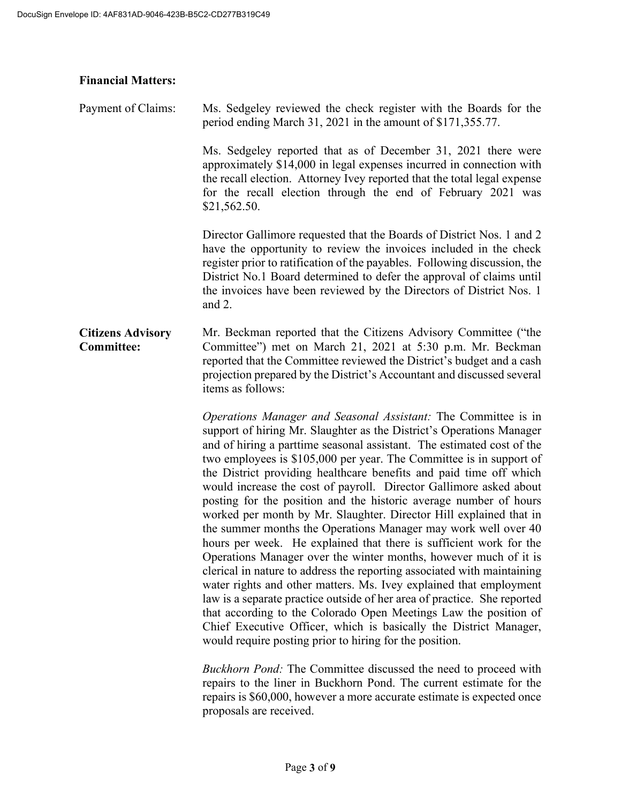## **Financial Matters:**

| Payment of Claims:                            | Ms. Sedgeley reviewed the check register with the Boards for the<br>period ending March 31, 2021 in the amount of \$171,355.77.                                                                                                                                                                                                                                                                                                                                                                                                                                                                                                                                                                                                                                                                                                                                                                                                                                                                                         |
|-----------------------------------------------|-------------------------------------------------------------------------------------------------------------------------------------------------------------------------------------------------------------------------------------------------------------------------------------------------------------------------------------------------------------------------------------------------------------------------------------------------------------------------------------------------------------------------------------------------------------------------------------------------------------------------------------------------------------------------------------------------------------------------------------------------------------------------------------------------------------------------------------------------------------------------------------------------------------------------------------------------------------------------------------------------------------------------|
|                                               | Ms. Sedgeley reported that as of December 31, 2021 there were<br>approximately \$14,000 in legal expenses incurred in connection with<br>the recall election. Attorney Ivey reported that the total legal expense<br>for the recall election through the end of February 2021 was<br>\$21,562.50.                                                                                                                                                                                                                                                                                                                                                                                                                                                                                                                                                                                                                                                                                                                       |
|                                               | Director Gallimore requested that the Boards of District Nos. 1 and 2<br>have the opportunity to review the invoices included in the check<br>register prior to ratification of the payables. Following discussion, the<br>District No.1 Board determined to defer the approval of claims until<br>the invoices have been reviewed by the Directors of District Nos. 1<br>and 2.                                                                                                                                                                                                                                                                                                                                                                                                                                                                                                                                                                                                                                        |
| <b>Citizens Advisory</b><br><b>Committee:</b> | Mr. Beckman reported that the Citizens Advisory Committee ("the<br>Committee") met on March 21, 2021 at 5:30 p.m. Mr. Beckman<br>reported that the Committee reviewed the District's budget and a cash<br>projection prepared by the District's Accountant and discussed several<br>items as follows:                                                                                                                                                                                                                                                                                                                                                                                                                                                                                                                                                                                                                                                                                                                   |
|                                               | Operations Manager and Seasonal Assistant: The Committee is in<br>support of hiring Mr. Slaughter as the District's Operations Manager<br>and of hiring a parttime seasonal assistant. The estimated cost of the<br>two employees is \$105,000 per year. The Committee is in support of<br>the District providing healthcare benefits and paid time off which<br>would increase the cost of payroll. Director Gallimore asked about<br>posting for the position and the historic average number of hours<br>worked per month by Mr. Slaughter. Director Hill explained that in<br>the summer months the Operations Manager may work well over 40<br>hours per week. He explained that there is sufficient work for the<br>Operations Manager over the winter months, however much of it is<br>clerical in nature to address the reporting associated with maintaining<br>water rights and other matters. Ms. Ivey explained that employment<br>law is a separate practice outside of her area of practice. She reported |

that according to the Colorado Open Meetings Law the position of Chief Executive Officer, which is basically the District Manager, would require posting prior to hiring for the position. *Buckhorn Pond:* The Committee discussed the need to proceed with

repairs to the liner in Buckhorn Pond. The current estimate for the repairs is \$60,000, however a more accurate estimate is expected once proposals are received.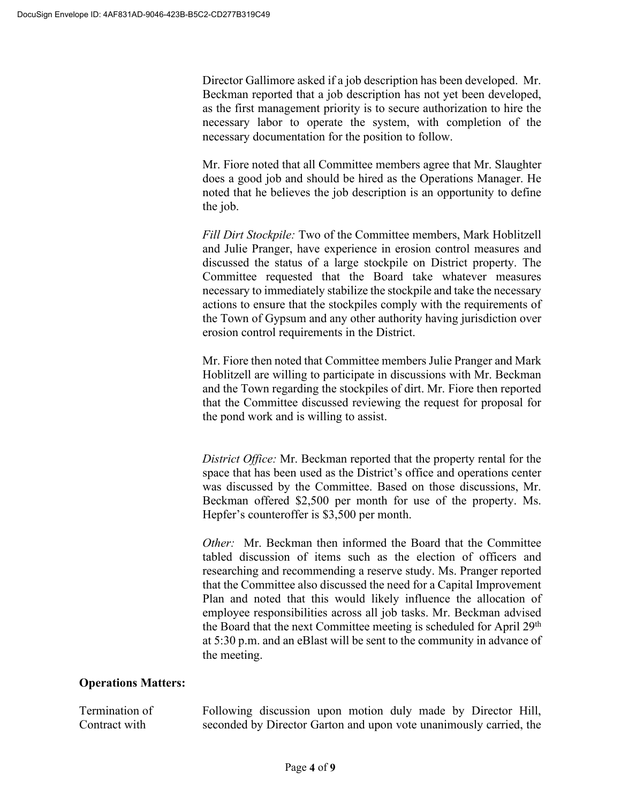Director Gallimore asked if a job description has been developed. Mr. Beckman reported that a job description has not yet been developed, as the first management priority is to secure authorization to hire the necessary labor to operate the system, with completion of the necessary documentation for the position to follow.

Mr. Fiore noted that all Committee members agree that Mr. Slaughter does a good job and should be hired as the Operations Manager. He noted that he believes the job description is an opportunity to define the job.

*Fill Dirt Stockpile:* Two of the Committee members, Mark Hoblitzell and Julie Pranger, have experience in erosion control measures and discussed the status of a large stockpile on District property. The Committee requested that the Board take whatever measures necessary to immediately stabilize the stockpile and take the necessary actions to ensure that the stockpiles comply with the requirements of the Town of Gypsum and any other authority having jurisdiction over erosion control requirements in the District.

Mr. Fiore then noted that Committee members Julie Pranger and Mark Hoblitzell are willing to participate in discussions with Mr. Beckman and the Town regarding the stockpiles of dirt. Mr. Fiore then reported that the Committee discussed reviewing the request for proposal for the pond work and is willing to assist.

*District Office:* Mr. Beckman reported that the property rental for the space that has been used as the District's office and operations center was discussed by the Committee. Based on those discussions, Mr. Beckman offered \$2,500 per month for use of the property. Ms. Hepfer's counteroffer is \$3,500 per month.

*Other:* Mr. Beckman then informed the Board that the Committee tabled discussion of items such as the election of officers and researching and recommending a reserve study. Ms. Pranger reported that the Committee also discussed the need for a Capital Improvement Plan and noted that this would likely influence the allocation of employee responsibilities across all job tasks. Mr. Beckman advised the Board that the next Committee meeting is scheduled for April 29<sup>th</sup> at 5:30 p.m. and an eBlast will be sent to the community in advance of the meeting.

#### **Operations Matters:**

Termination of Contract with Following discussion upon motion duly made by Director Hill, seconded by Director Garton and upon vote unanimously carried, the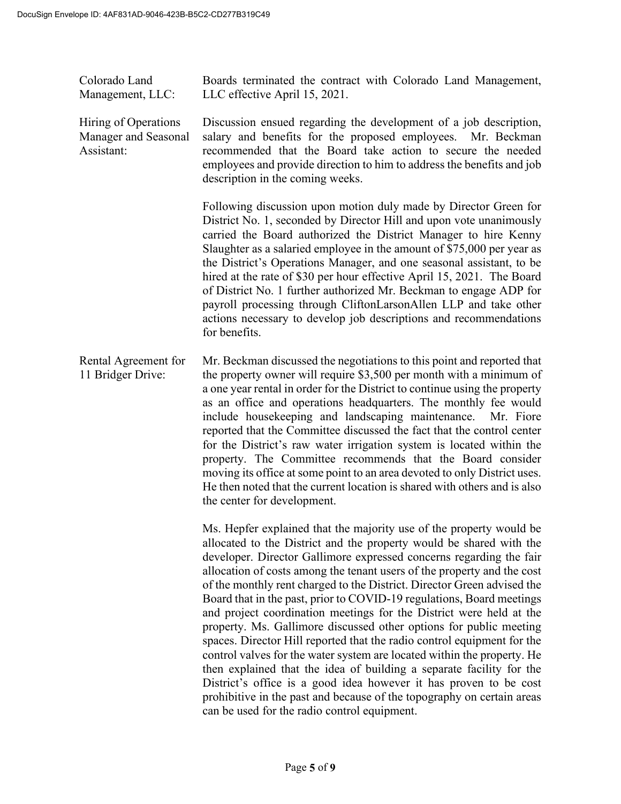Colorado Land Management, LLC: Boards terminated the contract with Colorado Land Management, LLC effective April 15, 2021.

Hiring of Operations Manager and Seasonal Assistant: Discussion ensued regarding the development of a job description, salary and benefits for the proposed employees. Mr. Beckman recommended that the Board take action to secure the needed employees and provide direction to him to address the benefits and job description in the coming weeks.

> Following discussion upon motion duly made by Director Green for District No. 1, seconded by Director Hill and upon vote unanimously carried the Board authorized the District Manager to hire Kenny Slaughter as a salaried employee in the amount of \$75,000 per year as the District's Operations Manager, and one seasonal assistant, to be hired at the rate of \$30 per hour effective April 15, 2021. The Board of District No. 1 further authorized Mr. Beckman to engage ADP for payroll processing through CliftonLarsonAllen LLP and take other actions necessary to develop job descriptions and recommendations for benefits.

Rental Agreement for 11 Bridger Drive: Mr. Beckman discussed the negotiations to this point and reported that the property owner will require \$3,500 per month with a minimum of a one year rental in order for the District to continue using the property as an office and operations headquarters. The monthly fee would include housekeeping and landscaping maintenance. Mr. Fiore reported that the Committee discussed the fact that the control center for the District's raw water irrigation system is located within the property. The Committee recommends that the Board consider moving its office at some point to an area devoted to only District uses. He then noted that the current location is shared with others and is also the center for development.

> Ms. Hepfer explained that the majority use of the property would be allocated to the District and the property would be shared with the developer. Director Gallimore expressed concerns regarding the fair allocation of costs among the tenant users of the property and the cost of the monthly rent charged to the District. Director Green advised the Board that in the past, prior to COVID-19 regulations, Board meetings and project coordination meetings for the District were held at the property. Ms. Gallimore discussed other options for public meeting spaces. Director Hill reported that the radio control equipment for the control valves for the water system are located within the property. He then explained that the idea of building a separate facility for the District's office is a good idea however it has proven to be cost prohibitive in the past and because of the topography on certain areas can be used for the radio control equipment.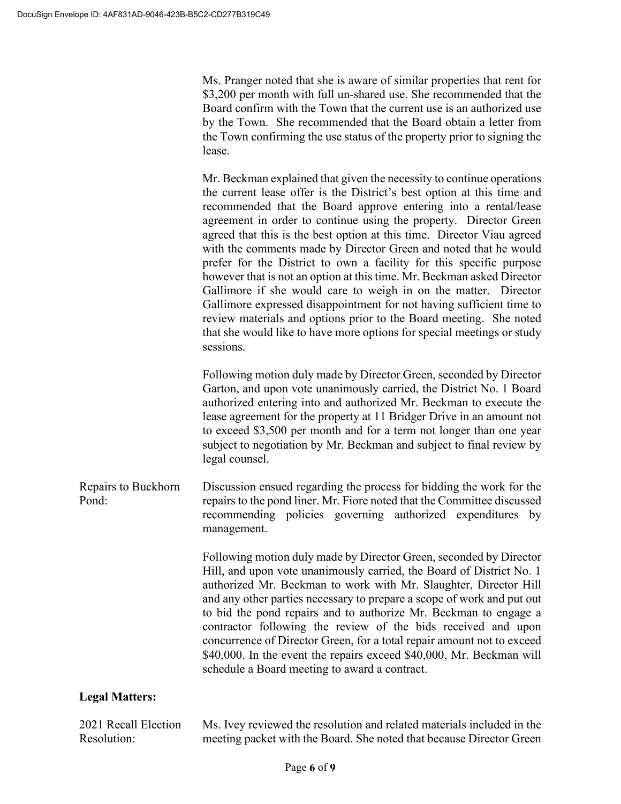Ms. Pranger noted that she is aware of similar properties that rent for \$3,200 per month with full un-shared use. She recommended that the Board confirm with the Town that the current use is an authorized use by the Town. She recommended that the Board obtain a letter from the Town confirming the use status of the property prior to signing the lease.

Mr. Beckman explained that given the necessity to continue operations the current lease offer is the District's best option at this time and recommended that the Board approve entering into a rental/lease agreement in order to continue using the property. Director Green agreed that this is the best option at this time. Director Viau agreed with the comments made by Director Green and noted that he would prefer for the District to own a facility for this specific purpose however that is not an option at this time. Mr. Beckman asked Director Gallimore if she would care to weigh in on the matter. Director Gallimore expressed disappointment for not having sufficient time to review materials and options prior to the Board meeting. She noted that she would like to have more options for special meetings or study sessions.

Following motion duly made by Director Green, seconded by Director Garton, and upon vote unanimously carried, the District No. 1 Board authorized entering into and authorized Mr. Beckman to execute the lease agreement for the property at 11 Bridger Drive in an amount not to exceed \$3,500 per month and for a term not longer than one year subject to negotiation by Mr. Beckman and subject to final review by legal counsel.

Repairs to Buckhorn Pond: Discussion ensued regarding the process for bidding the work for the repairs to the pond liner. Mr. Fiore noted that the Committee discussed recommending policies governing authorized expenditures by management.

> Following motion duly made by Director Green, seconded by Director Hill, and upon vote unanimously carried, the Board of District No. 1 authorized Mr. Beckman to work with Mr. Slaughter, Director Hill and any other parties necessary to prepare a scope of work and put out to bid the pond repairs and to authorize Mr. Beckman to engage a contractor following the review of the bids received and upon concurrence of Director Green, for a total repair amount not to exceed \$40,000. In the event the repairs exceed \$40,000, Mr. Beckman will schedule a Board meeting to award a contract.

## **Legal Matters:**

2021 Recall Election Resolution: Ms. Ivey reviewed the resolution and related materials included in the meeting packet with the Board. She noted that because Director Green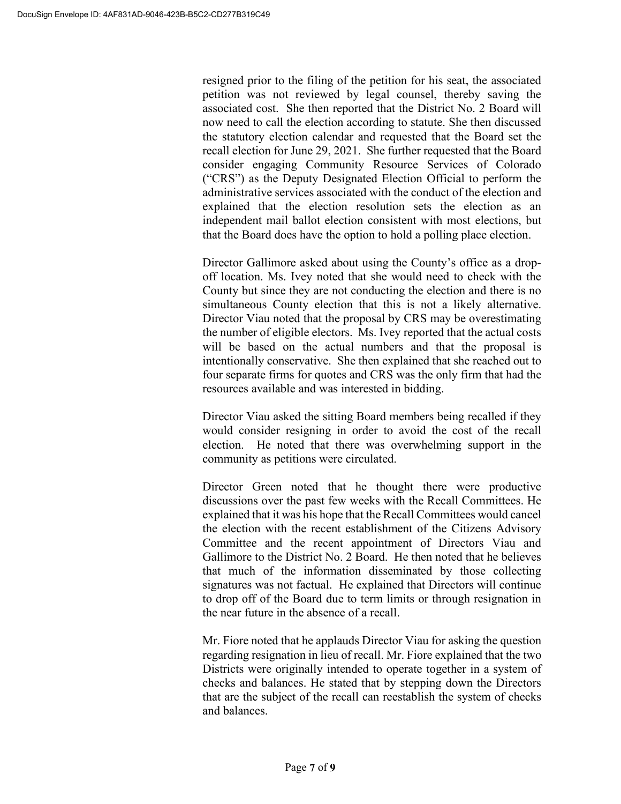resigned prior to the filing of the petition for his seat, the associated petition was not reviewed by legal counsel, thereby saving the associated cost. She then reported that the District No. 2 Board will now need to call the election according to statute. She then discussed the statutory election calendar and requested that the Board set the recall election for June 29, 2021. She further requested that the Board consider engaging Community Resource Services of Colorado ("CRS") as the Deputy Designated Election Official to perform the administrative services associated with the conduct of the election and explained that the election resolution sets the election as an independent mail ballot election consistent with most elections, but that the Board does have the option to hold a polling place election.

Director Gallimore asked about using the County's office as a dropoff location. Ms. Ivey noted that she would need to check with the County but since they are not conducting the election and there is no simultaneous County election that this is not a likely alternative. Director Viau noted that the proposal by CRS may be overestimating the number of eligible electors. Ms. Ivey reported that the actual costs will be based on the actual numbers and that the proposal is intentionally conservative. She then explained that she reached out to four separate firms for quotes and CRS was the only firm that had the resources available and was interested in bidding.

Director Viau asked the sitting Board members being recalled if they would consider resigning in order to avoid the cost of the recall election. He noted that there was overwhelming support in the community as petitions were circulated.

Director Green noted that he thought there were productive discussions over the past few weeks with the Recall Committees. He explained that it was his hope that the Recall Committees would cancel the election with the recent establishment of the Citizens Advisory Committee and the recent appointment of Directors Viau and Gallimore to the District No. 2 Board. He then noted that he believes that much of the information disseminated by those collecting signatures was not factual. He explained that Directors will continue to drop off of the Board due to term limits or through resignation in the near future in the absence of a recall.

Mr. Fiore noted that he applauds Director Viau for asking the question regarding resignation in lieu of recall. Mr. Fiore explained that the two Districts were originally intended to operate together in a system of checks and balances. He stated that by stepping down the Directors that are the subject of the recall can reestablish the system of checks and balances.